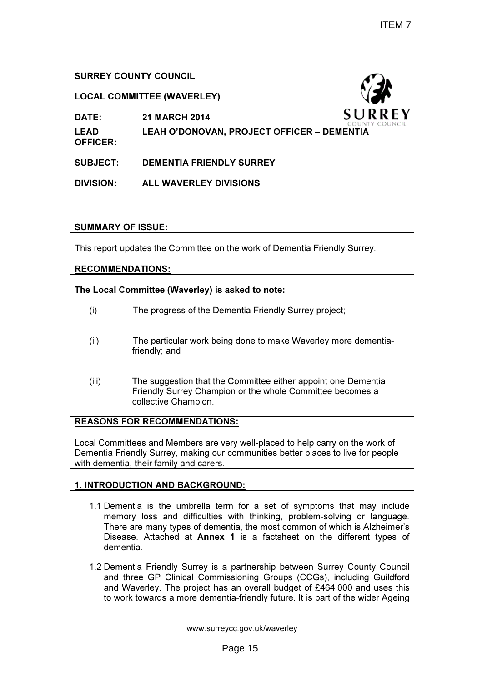# SURREY COUNTY COUNCIL

# LOCAL COMMITTEE (WAVERLEY)

DATE: 21 MARCH 2014

LEAD LEAH O'DONOVAN, PROJECT OFFICER – DEMENTIA

OFFICER:

SUBJECT: DEMENTIA FRIENDLY SURREY

DIVISION: ALL WAVERLEY DIVISIONS

# SUMMARY OF ISSUE:

This report updates the Committee on the work of Dementia Friendly Surrey.

# RECOMMENDATIONS:

# The Local Committee (Waverley) is asked to note:

- (i) The progress of the Dementia Friendly Surrey project;
- (ii) The particular work being done to make Waverley more dementiafriendly; and
- (iii) The suggestion that the Committee either appoint one Dementia Friendly Surrey Champion or the whole Committee becomes a collective Champion.

# REASONS FOR RECOMMENDATIONS:

Local Committees and Members are very well-placed to help carry on the work of Dementia Friendly Surrey, making our communities better places to live for people with dementia, their family and carers.

### 1. INTRODUCTION AND BACKGROUND:

- 1.1 Dementia is the umbrella term for a set of symptoms that may include memory loss and difficulties with thinking, problem-solving or language. There are many types of dementia, the most common of which is Alzheimer's Disease. Attached at Annex 1 is a factsheet on the different types of dementia.
- 1.2 Dementia Friendly Surrey is a partnership between Surrey County Council and three GP Clinical Commissioning Groups (CCGs), including Guildford and Waverley. The project has an overall budget of £464,000 and uses this to work towards a more dementia-friendly future. It is part of the wider Ageing

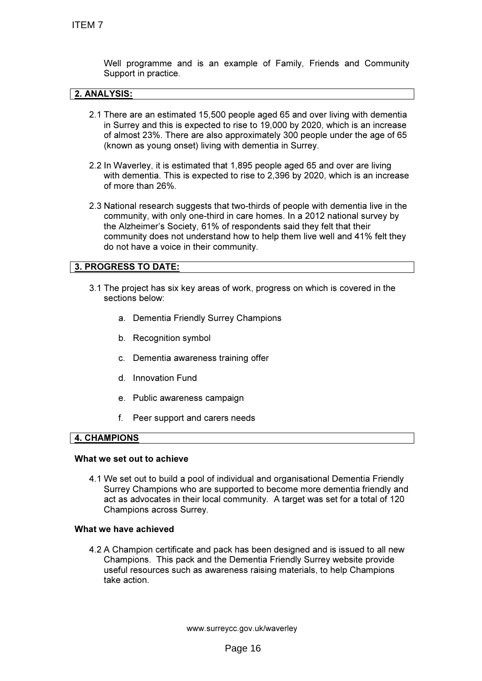Well programme and is an example of Family, Friends and Community Support in practice.

### 2. ANALYSIS:

- 2.1 There are an estimated 15,500 people aged 65 and over living with dementia in Surrey and this is expected to rise to 19,000 by 2020, which is an increase of almost 23%. There are also approximately 300 people under the age of 65 (known as young onset) living with dementia in Surrey.
- 2.2 In Waverley, it is estimated that 1,895 people aged 65 and over are living with dementia. This is expected to rise to 2,396 by 2020, which is an increase of more than 26%.
- 2.3 National research suggests that two-thirds of people with dementia live in the community, with only one-third in care homes. In a 2012 national survey by the Alzheimer's Society, 61% of respondents said they felt that their community does not understand how to help them live well and 41% felt they do not have a voice in their community.

# 3. PROGRESS TO DATE:

- 3.1 The project has six key areas of work, progress on which is covered in the sections below:
	- a. Dementia Friendly Surrey Champions
	- b. Recognition symbol
	- c. Dementia awareness training offer
	- d. Innovation Fund
	- e. Public awareness campaign
	- f. Peer support and carers needs

#### 4. CHAMPIONS

#### What we set out to achieve

4.1 We set out to build a pool of individual and organisational Dementia Friendly Surrey Champions who are supported to become more dementia friendly and act as advocates in their local community. A target was set for a total of 120 Champions across Surrey.

#### What we have achieved

4.2 A Champion certificate and pack has been designed and is issued to all new Champions. This pack and the Dementia Friendly Surrey website provide useful resources such as awareness raising materials, to help Champions take action.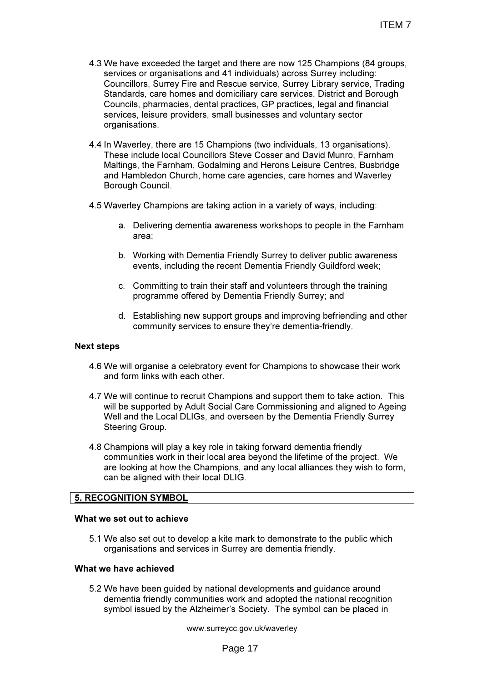- 4.3 We have exceeded the target and there are now 125 Champions (84 groups, services or organisations and 41 individuals) across Surrey including: Councillors, Surrey Fire and Rescue service, Surrey Library service, Trading Standards, care homes and domiciliary care services, District and Borough Councils, pharmacies, dental practices, GP practices, legal and financial services, leisure providers, small businesses and voluntary sector organisations.
- 4.4 In Waverley, there are 15 Champions (two individuals, 13 organisations). These include local Councillors Steve Cosser and David Munro, Farnham Maltings, the Farnham, Godalming and Herons Leisure Centres, Busbridge and Hambledon Church, home care agencies, care homes and Waverley Borough Council.
- 4.5 Waverley Champions are taking action in a variety of ways, including:
	- a. Delivering dementia awareness workshops to people in the Farnham area;
	- b. Working with Dementia Friendly Surrey to deliver public awareness events, including the recent Dementia Friendly Guildford week;
	- c. Committing to train their staff and volunteers through the training programme offered by Dementia Friendly Surrey; and
	- d. Establishing new support groups and improving befriending and other community services to ensure they're dementia-friendly.

### Next steps

- 4.6 We will organise a celebratory event for Champions to showcase their work and form links with each other.
- 4.7 We will continue to recruit Champions and support them to take action. This will be supported by Adult Social Care Commissioning and aligned to Ageing Well and the Local DLIGs, and overseen by the Dementia Friendly Surrey Steering Group.
- 4.8 Champions will play a key role in taking forward dementia friendly communities work in their local area beyond the lifetime of the project. We are looking at how the Champions, and any local alliances they wish to form, can be aligned with their local DLIG.

### 5. RECOGNITION SYMBOL

#### What we set out to achieve

5.1 We also set out to develop a kite mark to demonstrate to the public which organisations and services in Surrey are dementia friendly.

#### What we have achieved

5.2 We have been guided by national developments and guidance around dementia friendly communities work and adopted the national recognition symbol issued by the Alzheimer's Society. The symbol can be placed in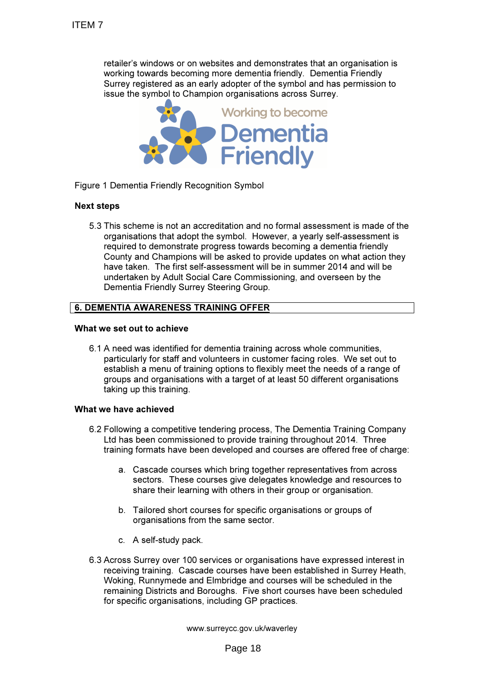retailer's windows or on websites and demonstrates that an organisation is working towards becoming more dementia friendly. Dementia Friendly Surrey registered as an early adopter of the symbol and has permission to issue the symbol to Champion organisations across Surrey.



Figure 1 Dementia Friendly Recognition Symbol

### Next steps

5.3 This scheme is not an accreditation and no formal assessment is made of the organisations that adopt the symbol. However, a yearly self-assessment is required to demonstrate progress towards becoming a dementia friendly County and Champions will be asked to provide updates on what action they have taken. The first self-assessment will be in summer 2014 and will be undertaken by Adult Social Care Commissioning, and overseen by the Dementia Friendly Surrey Steering Group.

### 6. DEMENTIA AWARENESS TRAINING OFFER

#### What we set out to achieve

6.1 A need was identified for dementia training across whole communities, particularly for staff and volunteers in customer facing roles. We set out to establish a menu of training options to flexibly meet the needs of a range of groups and organisations with a target of at least 50 different organisations taking up this training.

#### What we have achieved

- 6.2 Following a competitive tendering process, The Dementia Training Company Ltd has been commissioned to provide training throughout 2014. Three training formats have been developed and courses are offered free of charge:
	- a. Cascade courses which bring together representatives from across sectors. These courses give delegates knowledge and resources to share their learning with others in their group or organisation.
	- b. Tailored short courses for specific organisations or groups of organisations from the same sector.
	- c. A self-study pack.
- 6.3 Across Surrey over 100 services or organisations have expressed interest in receiving training. Cascade courses have been established in Surrey Heath, Woking, Runnymede and Elmbridge and courses will be scheduled in the remaining Districts and Boroughs. Five short courses have been scheduled for specific organisations, including GP practices.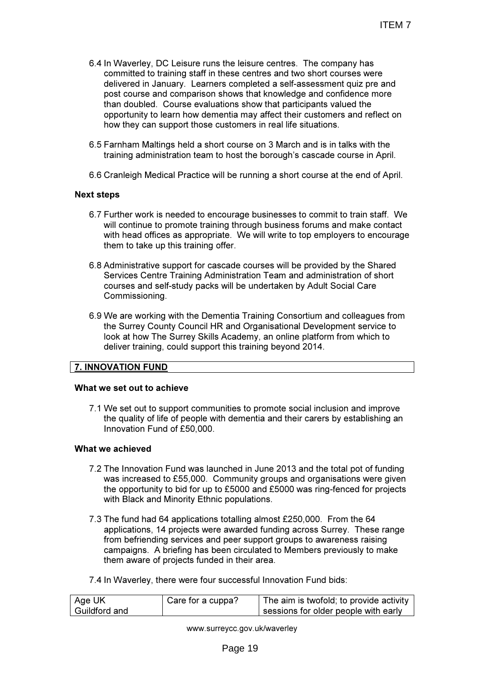- 6.4 In Waverley, DC Leisure runs the leisure centres. The company has committed to training staff in these centres and two short courses were delivered in January. Learners completed a self-assessment quiz pre and post course and comparison shows that knowledge and confidence more than doubled. Course evaluations show that participants valued the opportunity to learn how dementia may affect their customers and reflect on how they can support those customers in real life situations.
- 6.5 Farnham Maltings held a short course on 3 March and is in talks with the training administration team to host the borough's cascade course in April.
- 6.6 Cranleigh Medical Practice will be running a short course at the end of April.

### Next steps

- 6.7 Further work is needed to encourage businesses to commit to train staff. We will continue to promote training through business forums and make contact with head offices as appropriate. We will write to top employers to encourage them to take up this training offer.
- 6.8 Administrative support for cascade courses will be provided by the Shared Services Centre Training Administration Team and administration of short courses and self-study packs will be undertaken by Adult Social Care Commissioning.
- 6.9 We are working with the Dementia Training Consortium and colleagues from the Surrey County Council HR and Organisational Development service to look at how The Surrey Skills Academy, an online platform from which to deliver training, could support this training beyond 2014.

### 7. INNOVATION FUND

#### What we set out to achieve

7.1 We set out to support communities to promote social inclusion and improve the quality of life of people with dementia and their carers by establishing an Innovation Fund of £50,000.

# What we achieved

- 7.2 The Innovation Fund was launched in June 2013 and the total pot of funding was increased to £55,000. Community groups and organisations were given the opportunity to bid for up to £5000 and £5000 was ring-fenced for projects with Black and Minority Ethnic populations.
- 7.3 The fund had 64 applications totalling almost £250,000. From the 64 applications, 14 projects were awarded funding across Surrey. These range from befriending services and peer support groups to awareness raising campaigns. A briefing has been circulated to Members previously to make them aware of projects funded in their area.
- 7.4 In Waverley, there were four successful Innovation Fund bids:

| ∣ Age UK      | Care for a cuppa? | The aim is twofold; to provide activity |
|---------------|-------------------|-----------------------------------------|
| Guildford and |                   | sessions for older people with early    |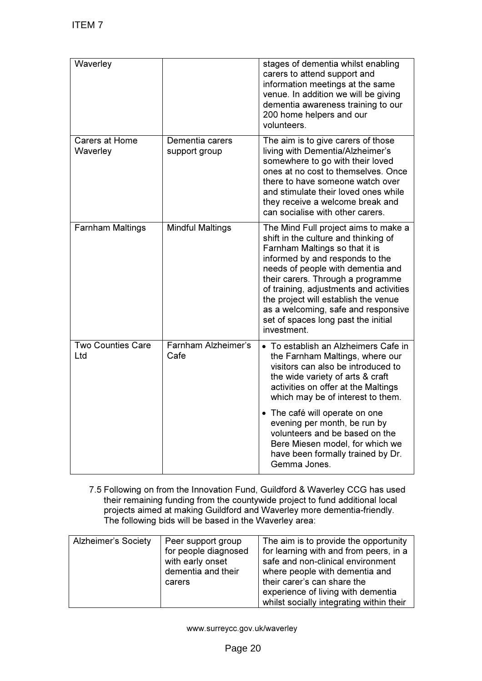| Waverley                          |                                  | stages of dementia whilst enabling<br>carers to attend support and<br>information meetings at the same<br>venue. In addition we will be giving<br>dementia awareness training to our<br>200 home helpers and our<br>volunteers.                                                                                                                                                                             |
|-----------------------------------|----------------------------------|-------------------------------------------------------------------------------------------------------------------------------------------------------------------------------------------------------------------------------------------------------------------------------------------------------------------------------------------------------------------------------------------------------------|
| <b>Carers at Home</b><br>Waverley | Dementia carers<br>support group | The aim is to give carers of those<br>living with Dementia/Alzheimer's<br>somewhere to go with their loved<br>ones at no cost to themselves. Once<br>there to have someone watch over<br>and stimulate their loved ones while<br>they receive a welcome break and<br>can socialise with other carers.                                                                                                       |
| <b>Farnham Maltings</b>           | <b>Mindful Maltings</b>          | The Mind Full project aims to make a<br>shift in the culture and thinking of<br>Farnham Maltings so that it is<br>informed by and responds to the<br>needs of people with dementia and<br>their carers. Through a programme<br>of training, adjustments and activities<br>the project will establish the venue<br>as a welcoming, safe and responsive<br>set of spaces long past the initial<br>investment. |
| <b>Two Counties Care</b><br>Ltd   | Farnham Alzheimer's<br>Cafe      | • To establish an Alzheimers Cafe in<br>the Farnham Maltings, where our<br>visitors can also be introduced to<br>the wide variety of arts & craft<br>activities on offer at the Maltings<br>which may be of interest to them.                                                                                                                                                                               |
|                                   |                                  | • The café will operate on one<br>evening per month, be run by<br>volunteers and be based on the<br>Bere Miesen model, for which we<br>have been formally trained by Dr.<br>Gemma Jones.                                                                                                                                                                                                                    |

7.5 Following on from the Innovation Fund, Guildford & Waverley CCG has used their remaining funding from the countywide project to fund additional local projects aimed at making Guildford and Waverley more dementia-friendly. The following bids will be based in the Waverley area:

| <b>Alzheimer's Society</b> | Peer support group   | The aim is to provide the opportunity    |
|----------------------------|----------------------|------------------------------------------|
|                            | for people diagnosed | for learning with and from peers, in a   |
|                            | with early onset     | safe and non-clinical environment        |
|                            | dementia and their   | where people with dementia and           |
|                            | carers               | their carer's can share the              |
|                            |                      | experience of living with dementia       |
|                            |                      | whilst socially integrating within their |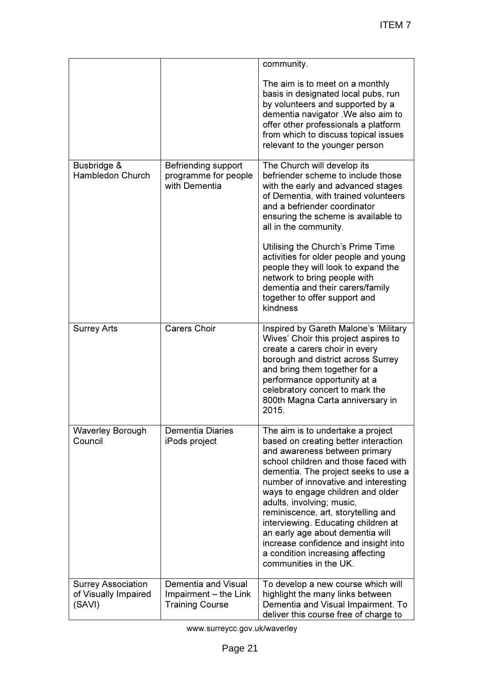|                                                             |                                                                        | community.                                                                                                                                                                                                                                                                                                                                                                                                                                                                                                                   |
|-------------------------------------------------------------|------------------------------------------------------------------------|------------------------------------------------------------------------------------------------------------------------------------------------------------------------------------------------------------------------------------------------------------------------------------------------------------------------------------------------------------------------------------------------------------------------------------------------------------------------------------------------------------------------------|
|                                                             |                                                                        | The aim is to meet on a monthly<br>basis in designated local pubs, run<br>by volunteers and supported by a<br>dementia navigator . We also aim to<br>offer other professionals a platform<br>from which to discuss topical issues<br>relevant to the younger person                                                                                                                                                                                                                                                          |
| Busbridge &<br>Hambledon Church                             | Befriending support<br>programme for people<br>with Dementia           | The Church will develop its<br>befriender scheme to include those<br>with the early and advanced stages<br>of Dementia, with trained volunteers<br>and a befriender coordinator<br>ensuring the scheme is available to<br>all in the community.<br>Utilising the Church's Prime Time<br>activities for older people and young<br>people they will look to expand the<br>network to bring people with<br>dementia and their carers/family<br>together to offer support and<br>kindness                                        |
| <b>Surrey Arts</b>                                          | <b>Carers Choir</b>                                                    | Inspired by Gareth Malone's 'Military<br>Wives' Choir this project aspires to<br>create a carers choir in every<br>borough and district across Surrey<br>and bring them together for a<br>performance opportunity at a<br>celebratory concert to mark the<br>800th Magna Carta anniversary in<br>2015.                                                                                                                                                                                                                       |
| <b>Waverley Borough</b><br>Council                          | <b>Dementia Diaries</b><br>iPods project                               | The aim is to undertake a project<br>based on creating better interaction<br>and awareness between primary<br>school children and those faced with<br>dementia. The project seeks to use a<br>number of innovative and interesting<br>ways to engage children and older<br>adults, involving; music,<br>reminiscence, art, storytelling and<br>interviewing. Educating children at<br>an early age about dementia will<br>increase confidence and insight into<br>a condition increasing affecting<br>communities in the UK. |
| <b>Surrey Association</b><br>of Visually Impaired<br>(SAVI) | Dementia and Visual<br>Impairment - the Link<br><b>Training Course</b> | To develop a new course which will<br>highlight the many links between<br>Dementia and Visual Impairment. To<br>deliver this course free of charge to                                                                                                                                                                                                                                                                                                                                                                        |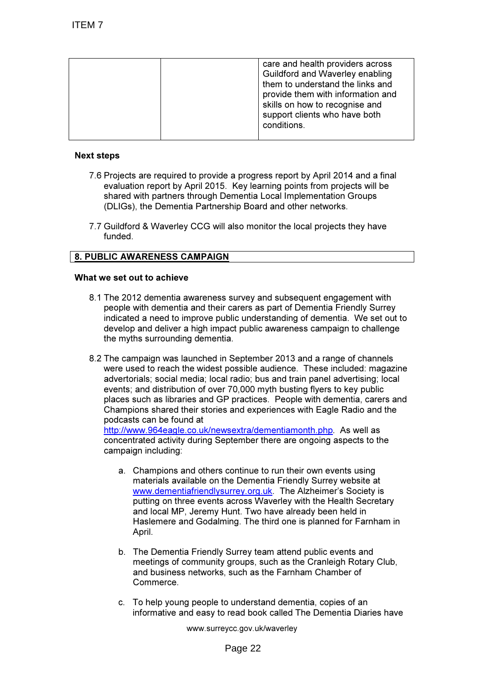| care and health providers across<br>Guildford and Waverley enabling<br>them to understand the links and<br>provide them with information and<br>skills on how to recognise and<br>support clients who have both |
|-----------------------------------------------------------------------------------------------------------------------------------------------------------------------------------------------------------------|
| conditions.                                                                                                                                                                                                     |

### Next steps

- 7.6 Projects are required to provide a progress report by April 2014 and a final evaluation report by April 2015. Key learning points from projects will be shared with partners through Dementia Local Implementation Groups (DLIGs), the Dementia Partnership Board and other networks.
- 7.7 Guildford & Waverley CCG will also monitor the local projects they have funded.

# 8. PUBLIC AWARENESS CAMPAIGN

### What we set out to achieve

- 8.1 The 2012 dementia awareness survey and subsequent engagement with people with dementia and their carers as part of Dementia Friendly Surrey indicated a need to improve public understanding of dementia. We set out to develop and deliver a high impact public awareness campaign to challenge the myths surrounding dementia.
- 8.2 The campaign was launched in September 2013 and a range of channels were used to reach the widest possible audience. These included: magazine advertorials; social media; local radio; bus and train panel advertising; local events; and distribution of over 70,000 myth busting flyers to key public places such as libraries and GP practices. People with dementia, carers and Champions shared their stories and experiences with Eagle Radio and the podcasts can be found at

http://www.964eagle.co.uk/newsextra/dementiamonth.php. As well as concentrated activity during September there are ongoing aspects to the campaign including:

- a. Champions and others continue to run their own events using materials available on the Dementia Friendly Surrey website at www.dementiafriendlysurrey.org.uk. The Alzheimer's Society is putting on three events across Waverley with the Health Secretary and local MP, Jeremy Hunt. Two have already been held in Haslemere and Godalming. The third one is planned for Farnham in April.
- b. The Dementia Friendly Surrey team attend public events and meetings of community groups, such as the Cranleigh Rotary Club, and business networks, such as the Farnham Chamber of Commerce.
- c. To help young people to understand dementia, copies of an informative and easy to read book called The Dementia Diaries have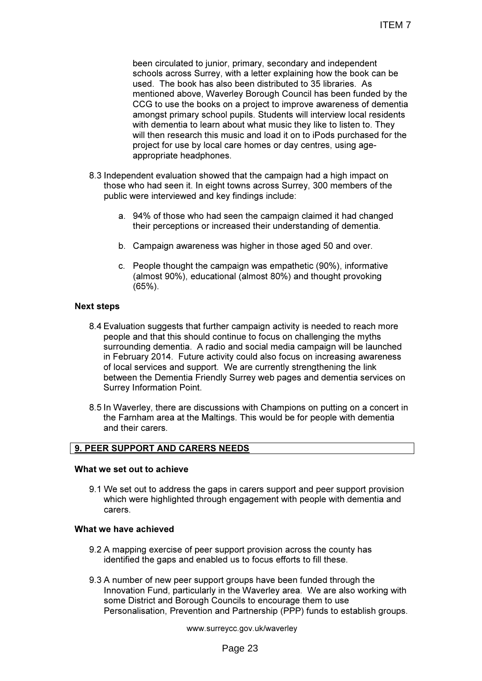been circulated to junior, primary, secondary and independent schools across Surrey, with a letter explaining how the book can be used. The book has also been distributed to 35 libraries. As mentioned above, Waverley Borough Council has been funded by the CCG to use the books on a project to improve awareness of dementia amongst primary school pupils. Students will interview local residents with dementia to learn about what music they like to listen to. They will then research this music and load it on to iPods purchased for the project for use by local care homes or day centres, using ageappropriate headphones.

- 8.3 Independent evaluation showed that the campaign had a high impact on those who had seen it. In eight towns across Surrey, 300 members of the public were interviewed and key findings include:
	- a. 94% of those who had seen the campaign claimed it had changed their perceptions or increased their understanding of dementia.
	- b. Campaign awareness was higher in those aged 50 and over.
	- c. People thought the campaign was empathetic (90%), informative (almost 90%), educational (almost 80%) and thought provoking (65%).

#### Next steps

- 8.4 Evaluation suggests that further campaign activity is needed to reach more people and that this should continue to focus on challenging the myths surrounding dementia. A radio and social media campaign will be launched in February 2014. Future activity could also focus on increasing awareness of local services and support. We are currently strengthening the link between the Dementia Friendly Surrey web pages and dementia services on Surrey Information Point.
- 8.5 In Waverley, there are discussions with Champions on putting on a concert in the Farnham area at the Maltings. This would be for people with dementia and their carers.

#### 9. PEER SUPPORT AND CARERS NEEDS

#### What we set out to achieve

9.1 We set out to address the gaps in carers support and peer support provision which were highlighted through engagement with people with dementia and carers.

#### What we have achieved

- 9.2 A mapping exercise of peer support provision across the county has identified the gaps and enabled us to focus efforts to fill these.
- 9.3 A number of new peer support groups have been funded through the Innovation Fund, particularly in the Waverley area. We are also working with some District and Borough Councils to encourage them to use Personalisation, Prevention and Partnership (PPP) funds to establish groups.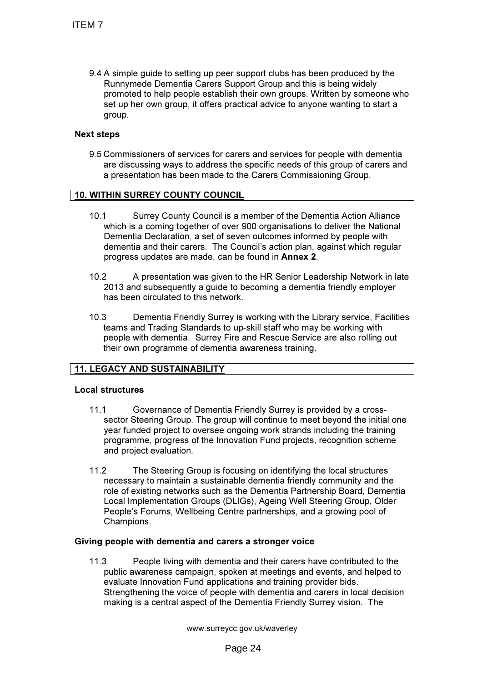9.4 A simple guide to setting up peer support clubs has been produced by the Runnymede Dementia Carers Support Group and this is being widely promoted to help people establish their own groups. Written by someone who set up her own group, it offers practical advice to anyone wanting to start a group.

# Next steps

9.5 Commissioners of services for carers and services for people with dementia are discussing ways to address the specific needs of this group of carers and a presentation has been made to the Carers Commissioning Group.

# 10. WITHIN SURREY COUNTY COUNCIL

- 10.1 Surrey County Council is a member of the Dementia Action Alliance which is a coming together of over 900 organisations to deliver the National Dementia Declaration, a set of seven outcomes informed by people with dementia and their carers. The Council's action plan, against which regular progress updates are made, can be found in Annex 2.
- 10.2 A presentation was given to the HR Senior Leadership Network in late 2013 and subsequently a guide to becoming a dementia friendly employer has been circulated to this network.
- 10.3 Dementia Friendly Surrey is working with the Library service, Facilities teams and Trading Standards to up-skill staff who may be working with people with dementia. Surrey Fire and Rescue Service are also rolling out their own programme of dementia awareness training.

# 11. LEGACY AND SUSTAINABILITY

#### Local structures

- 11.1 Governance of Dementia Friendly Surrey is provided by a crosssector Steering Group. The group will continue to meet beyond the initial one year funded project to oversee ongoing work strands including the training programme, progress of the Innovation Fund projects, recognition scheme and project evaluation.
- 11.2 The Steering Group is focusing on identifying the local structures necessary to maintain a sustainable dementia friendly community and the role of existing networks such as the Dementia Partnership Board, Dementia Local Implementation Groups (DLIGs), Ageing Well Steering Group, Older People's Forums, Wellbeing Centre partnerships, and a growing pool of Champions.

#### Giving people with dementia and carers a stronger voice

11.3 People living with dementia and their carers have contributed to the public awareness campaign, spoken at meetings and events, and helped to evaluate Innovation Fund applications and training provider bids. Strengthening the voice of people with dementia and carers in local decision making is a central aspect of the Dementia Friendly Surrey vision. The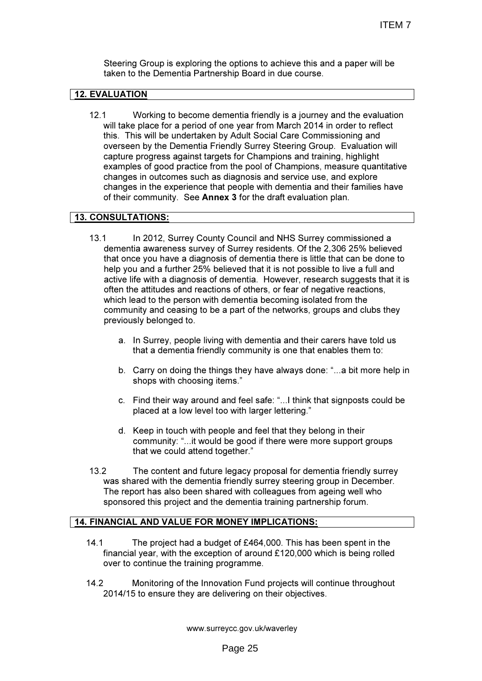Steering Group is exploring the options to achieve this and a paper will be taken to the Dementia Partnership Board in due course.

# 12. EVALUATION

12.1 Working to become dementia friendly is a journey and the evaluation will take place for a period of one year from March 2014 in order to reflect this. This will be undertaken by Adult Social Care Commissioning and overseen by the Dementia Friendly Surrey Steering Group. Evaluation will capture progress against targets for Champions and training, highlight examples of good practice from the pool of Champions, measure quantitative changes in outcomes such as diagnosis and service use, and explore changes in the experience that people with dementia and their families have of their community. See Annex 3 for the draft evaluation plan.

# 13. CONSULTATIONS:

- 13.1 In 2012, Surrey County Council and NHS Surrey commissioned a dementia awareness survey of Surrey residents. Of the 2,306 25% believed that once you have a diagnosis of dementia there is little that can be done to help you and a further 25% believed that it is not possible to live a full and active life with a diagnosis of dementia. However, research suggests that it is often the attitudes and reactions of others, or fear of negative reactions, which lead to the person with dementia becoming isolated from the community and ceasing to be a part of the networks, groups and clubs they previously belonged to.
	- a. In Surrey, people living with dementia and their carers have told us that a dementia friendly community is one that enables them to:
	- b. Carry on doing the things they have always done: "...a bit more help in shops with choosing items."
	- c. Find their way around and feel safe: "...I think that signposts could be placed at a low level too with larger lettering."
	- d. Keep in touch with people and feel that they belong in their community: "...it would be good if there were more support groups that we could attend together."
- 13.2 The content and future legacy proposal for dementia friendly surrey was shared with the dementia friendly surrey steering group in December. The report has also been shared with colleagues from ageing well who sponsored this project and the dementia training partnership forum.

# 14. FINANCIAL AND VALUE FOR MONEY IMPLICATIONS:

- 14.1 The project had a budget of £464,000. This has been spent in the financial year, with the exception of around £120,000 which is being rolled over to continue the training programme.
- 14.2 Monitoring of the Innovation Fund projects will continue throughout 2014/15 to ensure they are delivering on their objectives.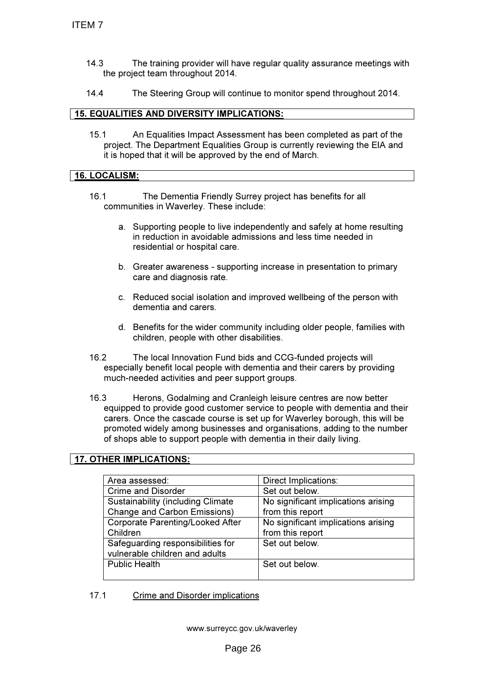- 14.3 The training provider will have regular quality assurance meetings with the project team throughout 2014.
- 14.4 The Steering Group will continue to monitor spend throughout 2014.

#### 15. EQUALITIES AND DIVERSITY IMPLICATIONS:

15.1 An Equalities Impact Assessment has been completed as part of the project. The Department Equalities Group is currently reviewing the EIA and it is hoped that it will be approved by the end of March.

### 16. LOCALISM:

- 16.1 The Dementia Friendly Surrey project has benefits for all communities in Waverley. These include:
	- a. Supporting people to live independently and safely at home resulting in reduction in avoidable admissions and less time needed in residential or hospital care.
	- b. Greater awareness supporting increase in presentation to primary care and diagnosis rate.
	- c. Reduced social isolation and improved wellbeing of the person with dementia and carers.
	- d. Benefits for the wider community including older people, families with children, people with other disabilities.
- 16.2 The local Innovation Fund bids and CCG-funded projects will especially benefit local people with dementia and their carers by providing much-needed activities and peer support groups.
- 16.3 Herons, Godalming and Cranleigh leisure centres are now better equipped to provide good customer service to people with dementia and their carers. Once the cascade course is set up for Waverley borough, this will be promoted widely among businesses and organisations, adding to the number of shops able to support people with dementia in their daily living.

### 17. OTHER IMPLICATIONS:

| Area assessed:                           | Direct Implications:                |
|------------------------------------------|-------------------------------------|
| <b>Crime and Disorder</b>                | Set out below.                      |
| <b>Sustainability (including Climate</b> | No significant implications arising |
| <b>Change and Carbon Emissions)</b>      | from this report                    |
| <b>Corporate Parenting/Looked After</b>  | No significant implications arising |
| Children                                 | from this report                    |
| Safeguarding responsibilities for        | Set out below.                      |
| vulnerable children and adults           |                                     |
| <b>Public Health</b>                     | Set out below.                      |
|                                          |                                     |

17.1 Crime and Disorder implications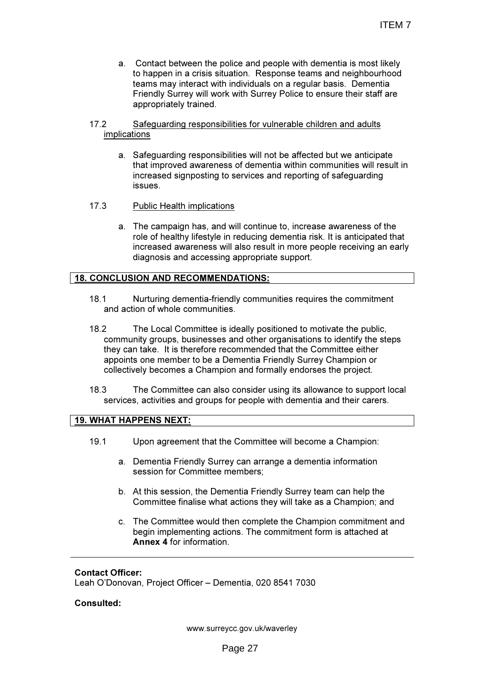a. Contact between the police and people with dementia is most likely to happen in a crisis situation. Response teams and neighbourhood teams may interact with individuals on a regular basis. Dementia Friendly Surrey will work with Surrey Police to ensure their staff are appropriately trained.

#### 17.2 Safeguarding responsibilities for vulnerable children and adults implications

- a. Safeguarding responsibilities will not be affected but we anticipate that improved awareness of dementia within communities will result in increased signposting to services and reporting of safeguarding issues.
- 17.3 Public Health implications
	- a. The campaign has, and will continue to, increase awareness of the role of healthy lifestyle in reducing dementia risk. It is anticipated that increased awareness will also result in more people receiving an early diagnosis and accessing appropriate support.

### 18. CONCLUSION AND RECOMMENDATIONS:

- 18.1 Nurturing dementia-friendly communities requires the commitment and action of whole communities.
- 18.2 The Local Committee is ideally positioned to motivate the public, community groups, businesses and other organisations to identify the steps they can take. It is therefore recommended that the Committee either appoints one member to be a Dementia Friendly Surrey Champion or collectively becomes a Champion and formally endorses the project.
- 18.3 The Committee can also consider using its allowance to support local services, activities and groups for people with dementia and their carers.

### 19. WHAT HAPPENS NEXT:

- 19.1 Upon agreement that the Committee will become a Champion:
	- a. Dementia Friendly Surrey can arrange a dementia information session for Committee members;
	- b. At this session, the Dementia Friendly Surrey team can help the Committee finalise what actions they will take as a Champion; and
	- c. The Committee would then complete the Champion commitment and begin implementing actions. The commitment form is attached at Annex 4 for information.

#### Contact Officer:

Leah O'Donovan, Project Officer – Dementia, 020 8541 7030

### Consulted: